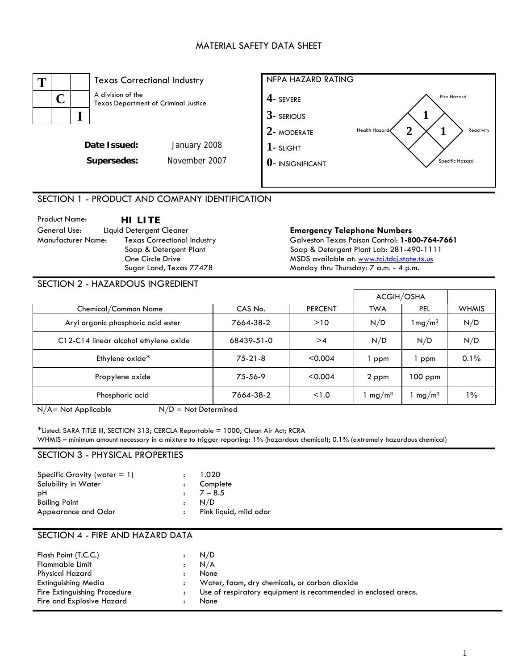## MATERIAL SAFETY DATA SHEET



## SECTION 1 - PRODUCT AND COMPANY IDENTIFICATION

Product Name: **HI LITE**  General Use: Liquid Detergent Cleaner **Emergency Telephone Numbers**<br>Manufacturer Name: Texas Correctional Industry **Bank Contexas Poison Control: 1-80** Texas Correctional Industry Soap & Detergent Plant One Circle Drive Sugar Land, Texas 77478

Galveston Texas Poison Control: **1-800-764-7661**  Soap & Detergent Plant Lab: 281-490-1111 MSDS available at: [www.tci.tdcj.state.tx.us](http://www.tci.tdcj.state.tx.us/) Monday thru Thursday: 7 a.m. - 4 p.m.

#### SECTION 2 - HAZARDOUS INGREDIENT

|                                       |            |                | ACGIH/OSHA        |                       |              |
|---------------------------------------|------------|----------------|-------------------|-----------------------|--------------|
| Chemical/Common Name                  | CAS No.    | <b>PERCENT</b> | <b>TWA</b>        | PEL.                  | <b>WHMIS</b> |
| Aryl organic phosphoric acid ester    | 7664-38-2  | >10            | N/D               | $1 \,\mathrm{mg/m^3}$ | N/D          |
| C12-C14 linear alcohol ethylene oxide | 68439-51-0 | >4             | N/D               | N/D                   | N/D          |
| Ethylene oxide*                       | $75-21-8$  | < 0.004        | ppm               | ppm                   | 0.1%         |
| Propylene oxide                       | 75-56-9    | < 0.004        | 2 ppm             | $100$ ppm             |              |
| Phosphoric acid                       | 7664-38-2  | < 1.0          | mg/m <sup>3</sup> | mg/m <sup>3</sup>     | $1\%$        |

 $N/A$  = Not Applicable  $N/D$  = Not Determined

\*Listed: SARA TITLE III, SECTION 313; CERCLA Reportable = 1000; Clean Air Act; RCRA WHMIS – minimum amount necessary in a mixture to trigger reporting: 1% (hazardous chemical); 0.1% (extremely hazardous chemical)

#### SECTION 3 - PHYSICAL PROPERTIES

| : Pink liquid, mild odor |
|--------------------------|
|                          |

## SECTION 4 - FIRE AND HAZARD DATA

| <b>Flammable Limit</b><br>N/A<br>$\mathbf{r}$<br><b>Physical Hazard</b><br>None<br>Water, foam, dry chemicals, or carbon dioxide<br>Extinguishing Media<br>Fire Extinguishing Procedure<br>Use of respiratory equipment is recommended in enclosed areas.<br>Fire and Explosive Hazard<br>None | N/D<br>Flash Point (T.C.C.)<br>$\mathbf{r}$ |  |
|------------------------------------------------------------------------------------------------------------------------------------------------------------------------------------------------------------------------------------------------------------------------------------------------|---------------------------------------------|--|
|------------------------------------------------------------------------------------------------------------------------------------------------------------------------------------------------------------------------------------------------------------------------------------------------|---------------------------------------------|--|